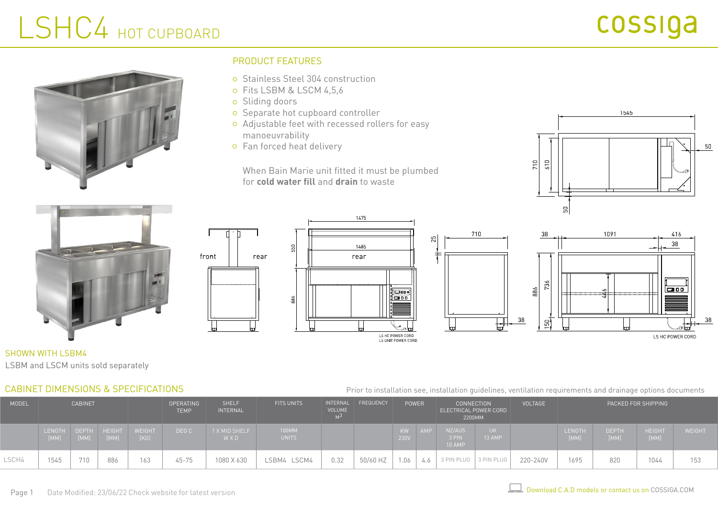# LSHC4 HOT CUPBOARD



## PRODUCT FEATURES

- Stainless Steel 304 construction
- o Fits LSBM & LSCM 4,5,6
- o Sliding doors

front

- o Separate hot cupboard controller
- Adjustable feet with recessed rollers for easy manoeuvrability
- Fan forced heat delivery

When Bain Marie unit fitted it must be plumbed for **cold water fill** and **drain** to waste









SHOWN WITH LSBM4 LSBM and LSCM units sold separately

## CABINET DIMENSIONS & SPECIFICATIONS

Prior to installation see, installation guidelines, ventilation requirements and drainage options documents

| <b>MODEL</b> | <b>CABINET</b>   |                      |                | <b>OPERATING</b><br><b>TEMP</b> | <b>SHELF</b><br><b>INTERNAL</b> | <b>FITS UNITS</b>    | INTERNAL<br>VOLUME    | FREQUENCY | <b>POWER</b> |            | <b>CONNECTION</b><br>ELECTRICAL POWER CORD<br>2200MM |                           | <b>VOLTAGE</b> | PACKED FOR SHIPPING |                       |                      |                       |               |
|--------------|------------------|----------------------|----------------|---------------------------------|---------------------------------|----------------------|-----------------------|-----------|--------------|------------|------------------------------------------------------|---------------------------|----------------|---------------------|-----------------------|----------------------|-----------------------|---------------|
|              | LENGTH  <br>[MM] | <b>DEPTH</b><br>[MM] | HEIGHT<br>[MM] | <b>WEIGHT</b><br>[KG]           | DEG C                           | 1 X MID SHELF<br>WXD | 100MM<br><b>UNITS</b> |           |              | KW<br>230V |                                                      | NZ/AUS<br>3 PIN<br>10 AMP | UK  <br>13 AMP |                     | <b>LENGTH</b><br>[MM] | <b>DEPTH</b><br>[MM] | <b>HEIGHT</b><br>[MM] | <b>WEIGHT</b> |
| LSCH4        | 1545             | 710                  | 886            | 163                             | $45 - 75$                       | 1080 X 630           | LSCM4<br>_SBM4        | 0.32      | 50/60 HZ     | 1.06       | 4.0                                                  | 3 PIN PLUG   3 PIN PLUG   |                | 220-240V            | 1695                  | 820                  | 1044                  | 153           |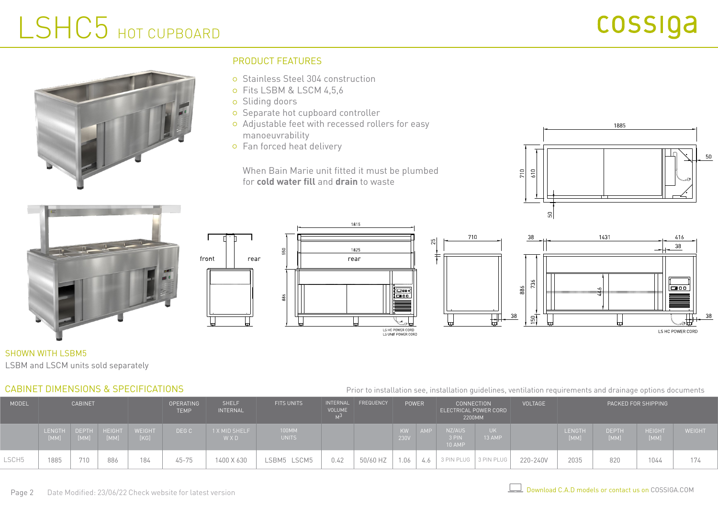# LSHC5 HOT CUPBOARD



## PRODUCT FEATURES

- Stainless Steel 304 construction
- o Fits LSBM & LSCM 4,5,6
- o Sliding doors

front

- o Separate hot cupboard controller
- Adjustable feet with recessed rollers for easy manoeuvrability
- Fan forced heat delivery

When Bain Marie unit fitted it must be plumbed for **cold water fill** and **drain** to waste









## SHOWN WITH LSBM5

LSBM and LSCM units sold separately

### CABINET DIMENSIONS & SPECIFICATIONS

#### Prior to installation see, installation guidelines, ventilation requirements and drainage options documents

| MODEL | <b>CABINET</b>   |                      |                       |                       | <b>OPERATING</b><br><b>TEMP</b> | <b>SHELF</b><br><b>INTERNAL</b> | <b>FITS UNITS</b> | <b>VOLUME</b> | INTERNAL FREQUENCY | <b>POWER</b>      | <b>CONNECTION</b><br>ELECTRICAL POWER CORD<br>2200MM |                | <b>VOLTAGE</b> | PACKED FOR SHIPPING |                      |                       |               |
|-------|------------------|----------------------|-----------------------|-----------------------|---------------------------------|---------------------------------|-------------------|---------------|--------------------|-------------------|------------------------------------------------------|----------------|----------------|---------------------|----------------------|-----------------------|---------------|
|       | LENGTH  <br>[MM] | <b>DEPTH</b><br>[MM] | <b>HEIGHT</b><br>[MM] | <b>WEIGHT</b><br>[KG] | DEG C                           | 1 X MID SHELF<br>WXD            | 100MM<br>UNITS    |               |                    | <b>KW</b><br>230V | NZ/AUS<br>3 PIN<br>10 AMP                            | UK  <br>13 AMP |                | LENGTH<br>[MM]      | <b>DEPTH</b><br>[MM] | <b>HEIGHT</b><br>[MM] | <b>WEIGHT</b> |
| LSCH5 | 1885             | 710                  | 886                   | 184                   | $45 - 75$                       | 1400 X 630                      | LSBM5 LSCM5       | 0.42          | 50/60 HZ           | 1.06              | 3 PIN PLUG   3 PIN PLUG                              |                | 220-240V       | 2035                | 820                  | 1044                  | 174           |